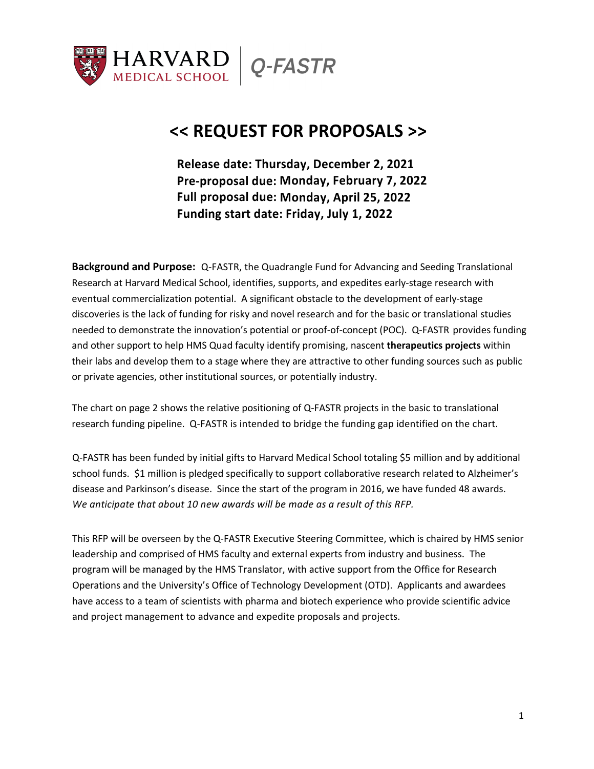

# **<< REQUEST FOR PROPOSALS >>**

**Release date: Thursday, December 2, 2021 Pre-proposal due: Monday, February 7, 2022 Full proposal due: Monday, April 25, 2022 Funding start date: Friday, July 1, 2022**

**Background and Purpose:** Q-FASTR, the Quadrangle Fund for Advancing and Seeding Translational Research at Harvard Medical School, identifies, supports, and expedites early-stage research with eventual commercialization potential. A significant obstacle to the development of early-stage discoveries is the lack of funding for risky and novel research and for the basic or translational studies needed to demonstrate the innovation's potential or proof-of-concept (POC). Q-FASTR provides funding and other support to help HMS Quad faculty identify promising, nascent **therapeutics projects** within their labs and develop them to a stage where they are attractive to other funding sources such as public or private agencies, other institutional sources, or potentially industry.

The chart on page 2 shows the relative positioning of Q-FASTR projects in the basic to translational research funding pipeline. Q-FASTR is intended to bridge the funding gap identified on the chart.

Q-FASTR has been funded by initial gifts to Harvard Medical School totaling \$5 million and by additional school funds. \$1 million is pledged specifically to support collaborative research related to Alzheimer's disease and Parkinson's disease. Since the start of the program in 2016, we have funded 48 awards. *We anticipate that about 10 new awards will be made as a result of this RFP.*

This RFP will be overseen by the Q-FASTR Executive Steering Committee, which is chaired by HMS senior leadership and comprised of HMS faculty and external experts from industry and business. The program will be managed by the HMS Translator, with active support from the Office for Research Operations and the University's Office of Technology Development (OTD). Applicants and awardees have access to a team of scientists with pharma and biotech experience who provide scientific advice and project management to advance and expedite proposals and projects.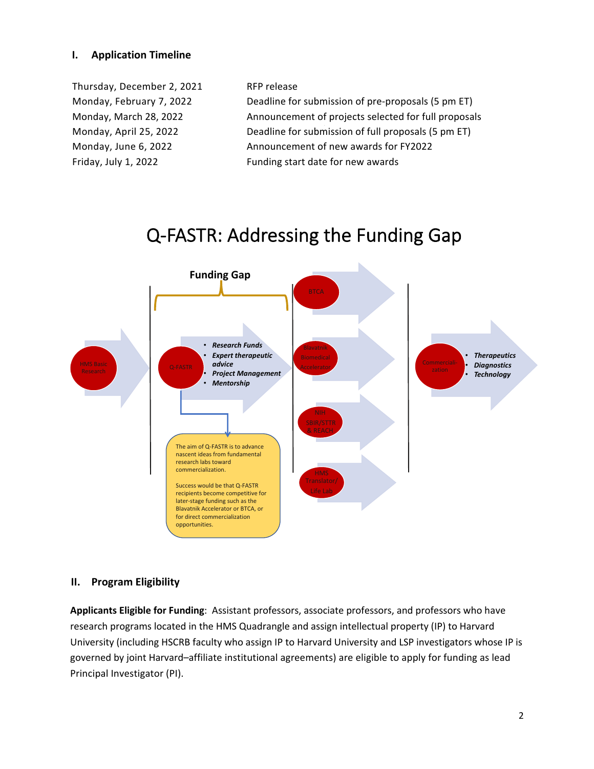# **I. Application Timeline**

Thursday, December 2, 2021 RFP release Friday, July 1, 2022 Funding start date for new awards

Monday, February 7, 2022 Deadline for submission of pre-proposals (5 pm ET) Monday, March 28, 2022 Announcement of projects selected for full proposals Monday, April 25, 2022 **Deadline for submission of full proposals (5 pm ET)** Monday, June 6, 2022 Announcement of new awards for FY2022



# Q-FASTR: Addressing the Funding Gap

# **II. Program Eligibility**

**Applicants Eligible for Funding**: Assistant professors, associate professors, and professors who have research programs located in the HMS Quadrangle and assign intellectual property (IP) to Harvard University (including HSCRB faculty who assign IP to Harvard University and LSP investigators whose IP is governed by joint Harvard–affiliate institutional agreements) are eligible to apply for funding as lead Principal Investigator (PI).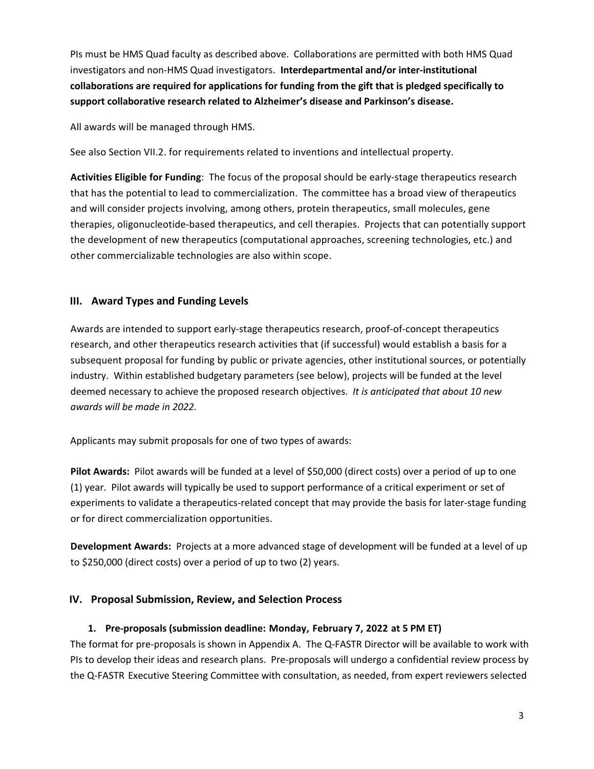PIs must be HMS Quad faculty as described above. Collaborations are permitted with both HMS Quad investigators and non-HMS Quad investigators. **Interdepartmental and/or inter-institutional collaborations are required for applications for funding from the gift that is pledged specifically to support collaborative research related to Alzheimer's disease and Parkinson's disease.**

All awards will be managed through HMS.

See also Section VII.2. for requirements related to inventions and intellectual property.

**Activities Eligible for Funding**: The focus of the proposal should be early-stage therapeutics research that has the potential to lead to commercialization. The committee has a broad view of therapeutics and will consider projects involving, among others, protein therapeutics, small molecules, gene therapies, oligonucleotide-based therapeutics, and cell therapies. Projects that can potentially support the development of new therapeutics (computational approaches, screening technologies, etc.) and other commercializable technologies are also within scope.

# **III. Award Types and Funding Levels**

Awards are intended to support early-stage therapeutics research, proof-of-concept therapeutics research, and other therapeutics research activities that (if successful) would establish a basis for a subsequent proposal for funding by public or private agencies, other institutional sources, or potentially industry. Within established budgetary parameters (see below), projects will be funded at the level deemed necessary to achieve the proposed research objectives. *It is anticipated that about 10 new awards will be made in 2022.*

Applicants may submit proposals for one of two types of awards:

**Pilot Awards:** Pilot awards will be funded at a level of \$50,000 (direct costs) over a period of up to one (1) year. Pilot awards will typically be used to support performance of a critical experiment or set of experiments to validate a therapeutics-related concept that may provide the basis for later-stage funding or for direct commercialization opportunities.

**Development Awards:** Projects at a more advanced stage of development will be funded at a level of up to \$250,000 (direct costs) over a period of up to two (2) years.

# **IV. Proposal Submission, Review, and Selection Process**

# **1. Pre-proposals (submission deadline: Monday, February 7, 2022 at 5 PM ET)**

The format for pre-proposals is shown in Appendix A. The Q-FASTR Director will be available to work with PIs to develop their ideas and research plans. Pre-proposals will undergo a confidential review process by the Q-FASTR Executive Steering Committee with consultation, as needed, from expert reviewers selected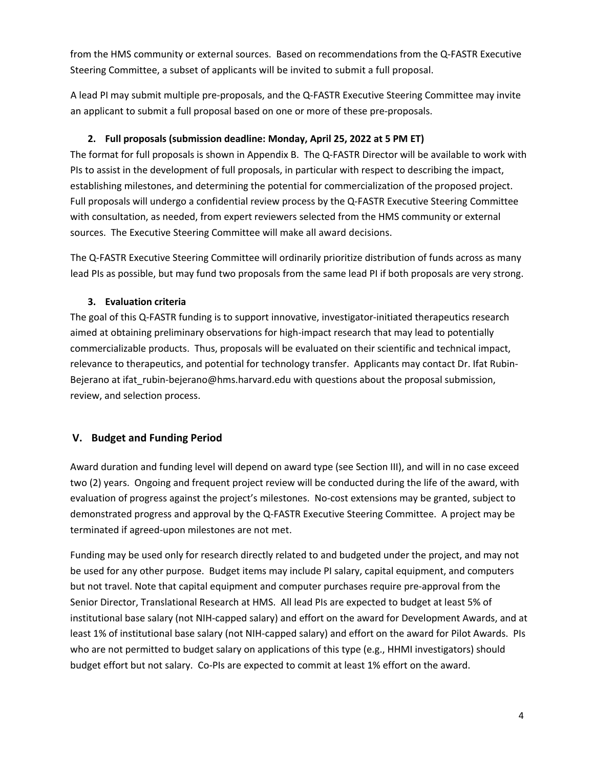from the HMS community or external sources. Based on recommendations from the Q-FASTR Executive Steering Committee, a subset of applicants will be invited to submit a full proposal.

A lead PI may submit multiple pre-proposals, and the Q-FASTR Executive Steering Committee may invite an applicant to submit a full proposal based on one or more of these pre-proposals.

# **2. Full proposals (submission deadline: Monday, April 25, 2022 at 5 PM ET)**

The format for full proposals is shown in Appendix B. The Q-FASTR Director will be available to work with PIs to assist in the development of full proposals, in particular with respect to describing the impact, establishing milestones, and determining the potential for commercialization of the proposed project. Full proposals will undergo a confidential review process by the Q-FASTR Executive Steering Committee with consultation, as needed, from expert reviewers selected from the HMS community or external sources. The Executive Steering Committee will make all award decisions.

The Q-FASTR Executive Steering Committee will ordinarily prioritize distribution of funds across as many lead PIs as possible, but may fund two proposals from the same lead PI if both proposals are very strong.

# **3. Evaluation criteria**

The goal of this Q-FASTR funding is to support innovative, investigator-initiated therapeutics research aimed at obtaining preliminary observations for high-impact research that may lead to potentially commercializable products. Thus, proposals will be evaluated on their scientific and technical impact, relevance to therapeutics, and potential for technology transfer. Applicants may contact Dr. Ifat Rubin-Bejerano at ifat\_rubin-bejerano@hms.harvard.edu with questions about the proposal submission, review, and selection process.

# **V. Budget and Funding Period**

Award duration and funding level will depend on award type (see Section III), and will in no case exceed two (2) years. Ongoing and frequent project review will be conducted during the life of the award, with evaluation of progress against the project's milestones. No-cost extensions may be granted, subject to demonstrated progress and approval by the Q-FASTR Executive Steering Committee. A project may be terminated if agreed-upon milestones are not met.

Funding may be used only for research directly related to and budgeted under the project, and may not be used for any other purpose. Budget items may include PI salary, capital equipment, and computers but not travel. Note that capital equipment and computer purchases require pre-approval from the Senior Director, Translational Research at HMS. All lead PIs are expected to budget at least 5% of institutional base salary (not NIH-capped salary) and effort on the award for Development Awards, and at least 1% of institutional base salary (not NIH-capped salary) and effort on the award for Pilot Awards. PIs who are not permitted to budget salary on applications of this type (e.g., HHMI investigators) should budget effort but not salary. Co-PIs are expected to commit at least 1% effort on the award.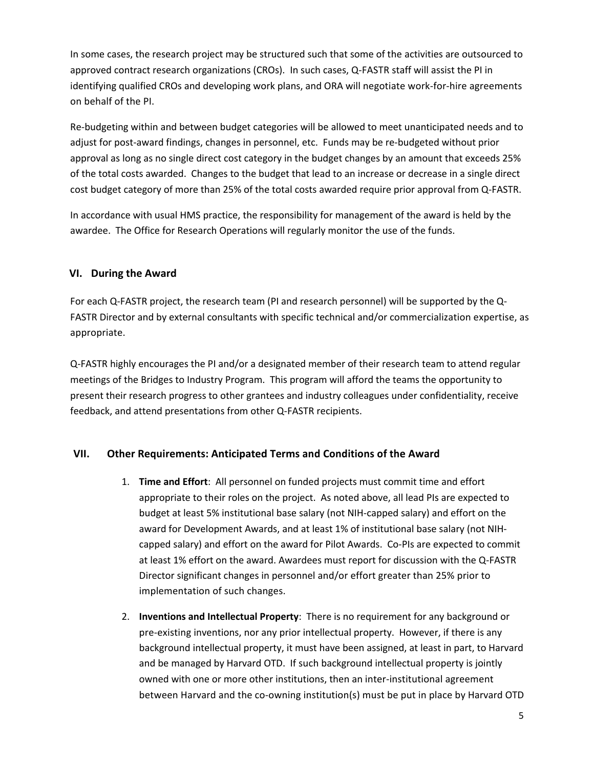In some cases, the research project may be structured such that some of the activities are outsourced to approved contract research organizations (CROs). In such cases, Q-FASTR staff will assist the PI in identifying qualified CROs and developing work plans, and ORA will negotiate work-for-hire agreements on behalf of the PI.

Re-budgeting within and between budget categories will be allowed to meet unanticipated needs and to adjust for post-award findings, changes in personnel, etc. Funds may be re-budgeted without prior approval as long as no single direct cost category in the budget changes by an amount that exceeds 25% of the total costs awarded. Changes to the budget that lead to an increase or decrease in a single direct cost budget category of more than 25% of the total costs awarded require prior approval from Q-FASTR.

In accordance with usual HMS practice, the responsibility for management of the award is held by the awardee. The Office for Research Operations will regularly monitor the use of the funds.

# **VI. During the Award**

For each Q-FASTR project, the research team (PI and research personnel) will be supported by the Q-FASTR Director and by external consultants with specific technical and/or commercialization expertise, as appropriate.

Q-FASTR highly encourages the PI and/or a designated member of their research team to attend regular meetings of the Bridges to Industry Program. This program will afford the teams the opportunity to present their research progress to other grantees and industry colleagues under confidentiality, receive feedback, and attend presentations from other Q-FASTR recipients.

# **VII. Other Requirements: Anticipated Terms and Conditions of the Award**

- 1. **Time and Effort**: All personnel on funded projects must commit time and effort appropriate to their roles on the project. As noted above, all lead PIs are expected to budget at least 5% institutional base salary (not NIH-capped salary) and effort on the award for Development Awards, and at least 1% of institutional base salary (not NIHcapped salary) and effort on the award for Pilot Awards. Co-PIs are expected to commit at least 1% effort on the award. Awardees must report for discussion with the Q-FASTR Director significant changes in personnel and/or effort greater than 25% prior to implementation of such changes.
- 2. **Inventions and Intellectual Property**: There is no requirement for any background or pre-existing inventions, nor any prior intellectual property. However, if there is any background intellectual property, it must have been assigned, at least in part, to Harvard and be managed by Harvard OTD. If such background intellectual property is jointly owned with one or more other institutions, then an inter-institutional agreement between Harvard and the co-owning institution(s) must be put in place by Harvard OTD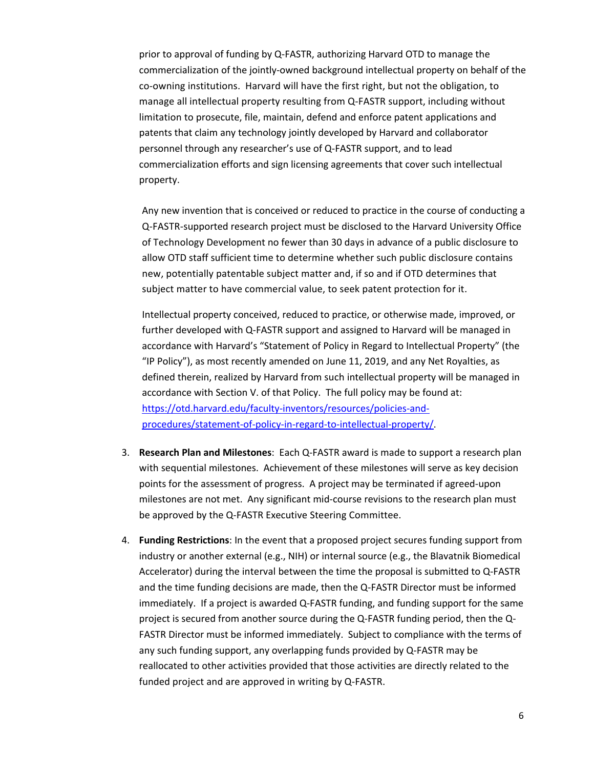prior to approval of funding by Q-FASTR, authorizing Harvard OTD to manage the commercialization of the jointly-owned background intellectual property on behalf of the co-owning institutions. Harvard will have the first right, but not the obligation, to manage all intellectual property resulting from Q-FASTR support, including without limitation to prosecute, file, maintain, defend and enforce patent applications and patents that claim any technology jointly developed by Harvard and collaborator personnel through any researcher's use of Q-FASTR support, and to lead commercialization efforts and sign licensing agreements that cover such intellectual property.

Any new invention that is conceived or reduced to practice in the course of conducting a Q-FASTR-supported research project must be disclosed to the Harvard University Office of Technology Development no fewer than 30 days in advance of a public disclosure to allow OTD staff sufficient time to determine whether such public disclosure contains new, potentially patentable subject matter and, if so and if OTD determines that subject matter to have commercial value, to seek patent protection for it.

Intellectual property conceived, reduced to practice, or otherwise made, improved, or further developed with Q-FASTR support and assigned to Harvard will be managed in accordance with Harvard's "Statement of Policy in Regard to Intellectual Property" (the "IP Policy"), as most recently amended on June 11, 2019, and any Net Royalties, as defined therein, realized by Harvard from such intellectual property will be managed in accordance with Section V. of that Policy. The full policy may be found at: https://otd.harvard.edu/faculty-inventors/resources/policies-andprocedures/statement-of-policy-in-regard-to-intellectual-property/.

- 3. **Research Plan and Milestones**: Each Q-FASTR award is made to support a research plan with sequential milestones. Achievement of these milestones will serve as key decision points for the assessment of progress. A project may be terminated if agreed-upon milestones are not met. Any significant mid-course revisions to the research plan must be approved by the Q-FASTR Executive Steering Committee.
- 4. **Funding Restrictions**: In the event that a proposed project secures funding support from industry or another external (e.g., NIH) or internal source (e.g., the Blavatnik Biomedical Accelerator) during the interval between the time the proposal is submitted to Q-FASTR and the time funding decisions are made, then the Q-FASTR Director must be informed immediately. If a project is awarded Q-FASTR funding, and funding support for the same project is secured from another source during the Q-FASTR funding period, then the Q-FASTR Director must be informed immediately. Subject to compliance with the terms of any such funding support, any overlapping funds provided by Q-FASTR may be reallocated to other activities provided that those activities are directly related to the funded project and are approved in writing by Q-FASTR.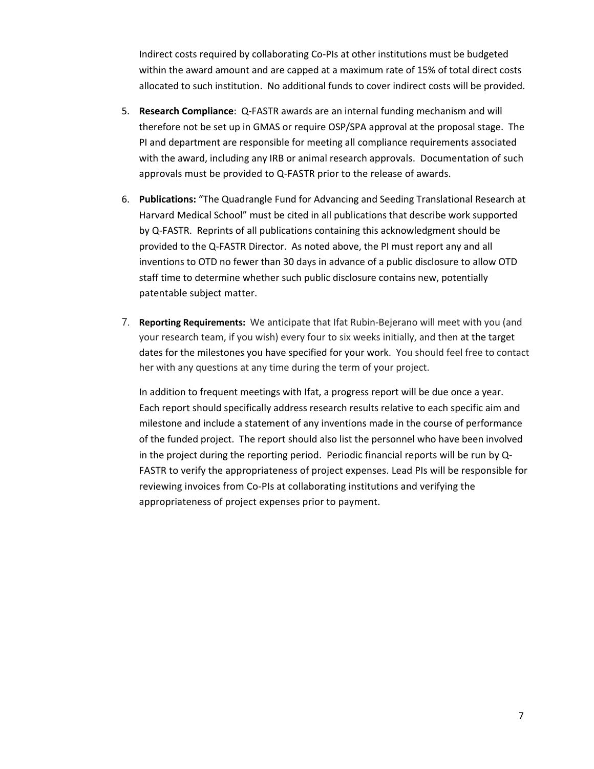Indirect costs required by collaborating Co-PIs at other institutions must be budgeted within the award amount and are capped at a maximum rate of 15% of total direct costs allocated to such institution. No additional funds to cover indirect costs will be provided.

- 5. **Research Compliance**: Q-FASTR awards are an internal funding mechanism and will therefore not be set up in GMAS or require OSP/SPA approval at the proposal stage. The PI and department are responsible for meeting all compliance requirements associated with the award, including any IRB or animal research approvals. Documentation of such approvals must be provided to Q-FASTR prior to the release of awards.
- 6. **Publications:** "The Quadrangle Fund for Advancing and Seeding Translational Research at Harvard Medical School" must be cited in all publications that describe work supported by Q-FASTR. Reprints of all publications containing this acknowledgment should be provided to the Q-FASTR Director. As noted above, the PI must report any and all inventions to OTD no fewer than 30 days in advance of a public disclosure to allow OTD staff time to determine whether such public disclosure contains new, potentially patentable subject matter.
- 7. **Reporting Requirements:** We anticipate that Ifat Rubin-Bejerano will meet with you (and your research team, if you wish) every four to six weeks initially, and then at the target dates for the milestones you have specified for your work. You should feel free to contact her with any questions at any time during the term of your project.

In addition to frequent meetings with Ifat, a progress report will be due once a year. Each report should specifically address research results relative to each specific aim and milestone and include a statement of any inventions made in the course of performance of the funded project. The report should also list the personnel who have been involved in the project during the reporting period. Periodic financial reports will be run by Q-FASTR to verify the appropriateness of project expenses. Lead PIs will be responsible for reviewing invoices from Co-PIs at collaborating institutions and verifying the appropriateness of project expenses prior to payment.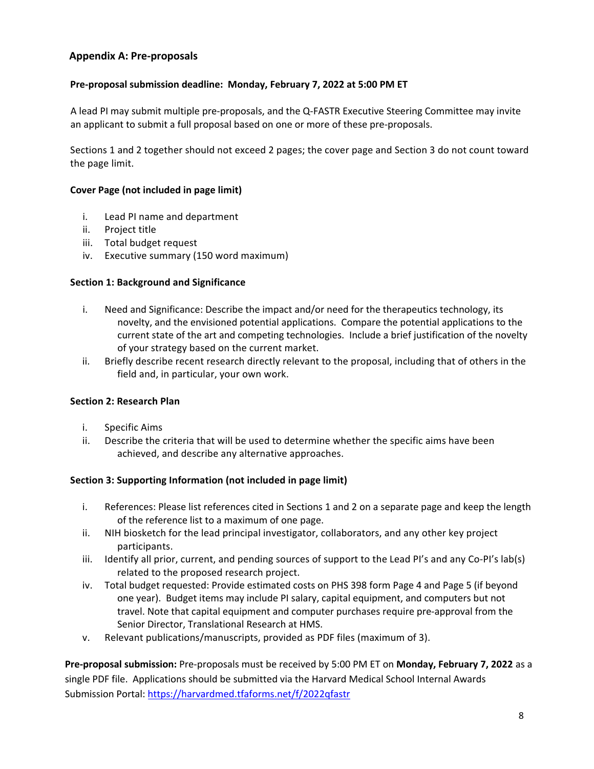# **Appendix A: Pre-proposals**

### **Pre-proposal submission deadline: Monday, February 7, 2022 at 5:00 PM ET**

A lead PI may submit multiple pre-proposals, and the Q-FASTR Executive Steering Committee may invite an applicant to submit a full proposal based on one or more of these pre-proposals.

Sections 1 and 2 together should not exceed 2 pages; the cover page and Section 3 do not count toward the page limit.

#### **Cover Page (not included in page limit)**

- i. Lead PI name and department
- ii. Project title
- iii. Total budget request
- iv. Executive summary (150 word maximum)

#### **Section 1: Background and Significance**

- i. Need and Significance: Describe the impact and/or need for the therapeutics technology, its novelty, and the envisioned potential applications. Compare the potential applications to the current state of the art and competing technologies. Include a brief justification of the novelty of your strategy based on the current market.
- ii. Briefly describe recent research directly relevant to the proposal, including that of others in the field and, in particular, your own work.

#### **Section 2: Research Plan**

- i. Specific Aims
- ii. Describe the criteria that will be used to determine whether the specific aims have been achieved, and describe any alternative approaches.

#### **Section 3: Supporting Information (not included in page limit)**

- i. References: Please list references cited in Sections 1 and 2 on a separate page and keep the length of the reference list to a maximum of one page.
- ii. NIH biosketch for the lead principal investigator, collaborators, and any other key project participants.
- iii. Identify all prior, current, and pending sources of support to the Lead PI's and any Co-PI's lab(s) related to the proposed research project.
- iv. Total budget requested: Provide estimated costs on PHS 398 form Page 4 and Page 5 (if beyond one year). Budget items may include PI salary, capital equipment, and computers but not travel. Note that capital equipment and computer purchases require pre-approval from the Senior Director, Translational Research at HMS.
- v. Relevant publications/manuscripts, provided as PDF files (maximum of 3).

**Pre-proposal submission:** Pre-proposals must be received by 5:00 PM ET on **Monday, February 7, 2022** as a single PDF file. Applications should be submitted via the Harvard Medical School Internal Awards Submission Portal: https://harvardmed.tfaforms.net/f/2022qfastr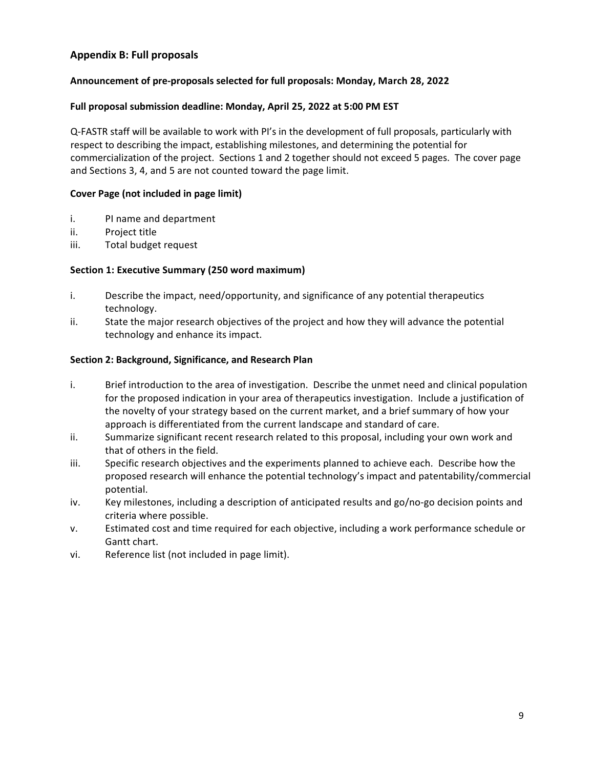# **Appendix B: Full proposals**

#### **Announcement of pre-proposals selected for full proposals: Monday, March 28, 2022**

#### **Full proposal submission deadline: Monday, April 25, 2022 at 5:00 PM EST**

Q-FASTR staff will be available to work with PI's in the development of full proposals, particularly with respect to describing the impact, establishing milestones, and determining the potential for commercialization of the project. Sections 1 and 2 together should not exceed 5 pages. The cover page and Sections 3, 4, and 5 are not counted toward the page limit.

#### **Cover Page (not included in page limit)**

- i. PI name and department
- ii. Project title
- iii. Total budget request

#### **Section 1: Executive Summary (250 word maximum)**

- i. Describe the impact, need/opportunity, and significance of any potential therapeutics technology.
- ii. State the major research objectives of the project and how they will advance the potential technology and enhance its impact.

#### **Section 2: Background, Significance, and Research Plan**

- i. Brief introduction to the area of investigation. Describe the unmet need and clinical population for the proposed indication in your area of therapeutics investigation. Include a justification of the novelty of your strategy based on the current market, and a brief summary of how your approach is differentiated from the current landscape and standard of care.
- ii. Summarize significant recent research related to this proposal, including your own work and that of others in the field.
- iii. Specific research objectives and the experiments planned to achieve each. Describe how the proposed research will enhance the potential technology's impact and patentability/commercial potential.
- iv. Key milestones, including a description of anticipated results and go/no-go decision points and criteria where possible.
- v. Estimated cost and time required for each objective, including a work performance schedule or Gantt chart.
- vi. Reference list (not included in page limit).